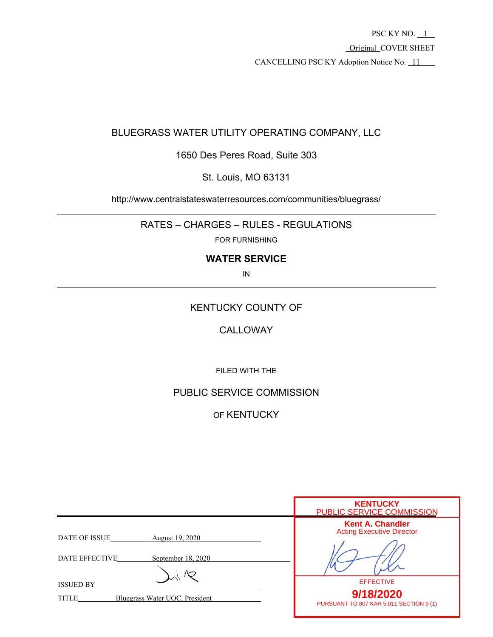PSC KY NO.  $1$  Original COVER SHEET CANCELLING PSC KY Adoption Notice No. 11

# BLUEGRASS WATER UTILITY OPERATING COMPANY, LLC

# 1650 Des Peres Road, Suite 303

St. Louis, MO 63131

http://www.centralstateswaterresources.com/communities/bluegrass/

RATES – CHARGES – RULES - REGULATIONS

FOR FURNISHING

# **WATER SERVICE**

IN

# KENTUCKY COUNTY OF

# CALLOWAY

FILED WITH THE

PUBLIC SERVICE COMMISSION

OF KENTUCKY

|                                                                          | <b>KENTUCKY</b><br><b>PUBLIC SERVICE COMMISSION</b>         |
|--------------------------------------------------------------------------|-------------------------------------------------------------|
| DATE OF ISSUE<br>August 19, 2020<br>DATE EFFECTIVE<br>September 18, 2020 | <b>Kent A. Chandler</b><br><b>Acting Executive Director</b> |
| <b>ISSUED BY</b>                                                         | <b>EFFECTIVE</b>                                            |
| Bluegrass Water UOC, President<br><b>TITLE</b>                           | 9/18/2020<br>PURSUANT TO 807 KAR 5:011 SECTION 9 (1)        |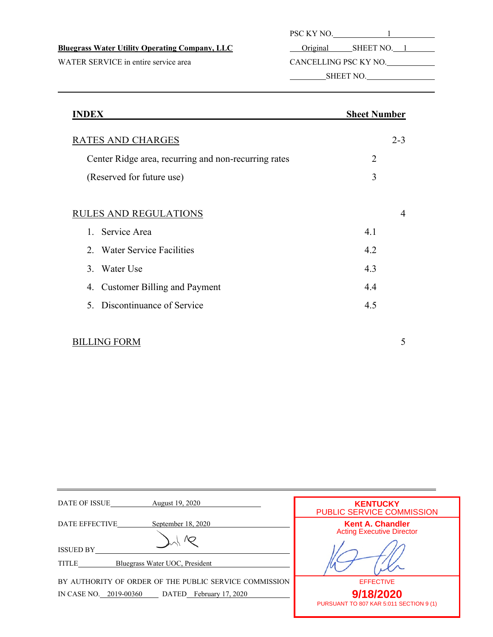| DCC VV N <sub>O</sub><br>NO<br>n |  |
|----------------------------------|--|
|                                  |  |

**Bluegrass Water Utility Operating Company, LLC** Original SHEET NO. 1

WATER SERVICE in entire service area CANCELLING PSC KY NO.

l

SHEET NO.

| <b>Sheet Number</b> |
|---------------------|
| $2 - 3$             |
| 2                   |
| 3                   |
|                     |
| $\overline{4}$      |
| 4.1                 |
| 4.2                 |
| 4.3                 |
| 4.4                 |
| 4.5                 |
|                     |

# BILLING FORM 5

| č              |
|----------------|
| ۰.<br>۰,<br>۰. |
|                |
|                |
|                |
|                |
|                |

| DATE OF ISSUE                                                      | <b>KENTUCKY</b>                         |
|--------------------------------------------------------------------|-----------------------------------------|
| August 19, 2020                                                    | PUBLIC SERVICE COMMISSION               |
| DATE EFFECTIVE                                                     | <b>Kent A. Chandler</b>                 |
| September 18, 2020                                                 | <b>Acting Executive Director</b>        |
| <b>ISSUED BY</b><br>Bluegrass Water UOC, President<br><b>TITLE</b> |                                         |
| BY AUTHORITY OF ORDER OF THE PUBLIC SERVICE COMMISSION             | <b>EFFECTIVE</b>                        |
| IN CASE NO. 2019-00360                                             | 9/18/2020                               |
| DATED February 17, 2020                                            | PURSUANT TO 807 KAR 5:011 SECTION 9 (1) |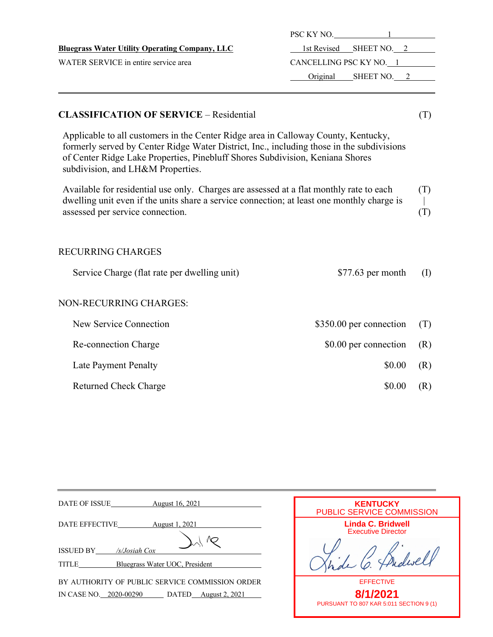|                                                                                                                                                                                                                                                                                                       | PSC KY NO.              |            |
|-------------------------------------------------------------------------------------------------------------------------------------------------------------------------------------------------------------------------------------------------------------------------------------------------------|-------------------------|------------|
| <b>Bluegrass Water Utility Operating Company, LLC</b>                                                                                                                                                                                                                                                 | 1st Revised SHEET NO. 2 |            |
| WATER SERVICE in entire service area                                                                                                                                                                                                                                                                  | CANCELLING PSC KY NO. 1 |            |
|                                                                                                                                                                                                                                                                                                       | Original SHEET NO. 2    |            |
|                                                                                                                                                                                                                                                                                                       |                         |            |
| <b>CLASSIFICATION OF SERVICE – Residential</b>                                                                                                                                                                                                                                                        |                         | (T)        |
| Applicable to all customers in the Center Ridge area in Calloway County, Kentucky,<br>formerly served by Center Ridge Water District, Inc., including those in the subdivisions<br>of Center Ridge Lake Properties, Pinebluff Shores Subdivision, Keniana Shores<br>subdivision, and LH&M Properties. |                         |            |
| Available for residential use only. Charges are assessed at a flat monthly rate to each<br>dwelling unit even if the units share a service connection; at least one monthly charge is<br>assessed per service connection.                                                                             |                         | (T)<br>(T) |
| <b>RECURRING CHARGES</b>                                                                                                                                                                                                                                                                              |                         |            |
| Service Charge (flat rate per dwelling unit)                                                                                                                                                                                                                                                          | \$77.63 per month       | (I)        |
| NON-RECURRING CHARGES:                                                                                                                                                                                                                                                                                |                         |            |
| New Service Connection                                                                                                                                                                                                                                                                                | \$350.00 per connection | (T)        |
| Re-connection Charge                                                                                                                                                                                                                                                                                  | \$0.00 per connection   | (R)        |
| Late Payment Penalty                                                                                                                                                                                                                                                                                  | \$0.00                  | (R)        |
| <b>Returned Check Charge</b>                                                                                                                                                                                                                                                                          | \$0.00                  | (R)        |

| DATE OF ISSUE<br>August 16, 2021                                                               |
|------------------------------------------------------------------------------------------------|
| DATE EFFECTIVE<br>August 1, 2021                                                               |
| <b>ISSUED BY</b> /s/ <i>Josiah Cox</i>                                                         |
| Bluegrass Water UOC, President<br><b>TITLE</b>                                                 |
| BY AUTHORITY OF PUBLIC SERVICE COMMISSION ORDER<br>IN CASE NO. 2020-00290 DATED August 2, 2021 |

| <b>KENTUCKY</b><br>PUBLIC SERVICE COMMISSION   |  |  |
|------------------------------------------------|--|--|
| Linda C. Bridwell<br><b>Executive Director</b> |  |  |
| relivel                                        |  |  |
| <b>EFFECTIVE</b>                               |  |  |
| 8/1/2021                                       |  |  |
| PURSUANT TO 807 KAR 5:011 SECTION 9 (1)        |  |  |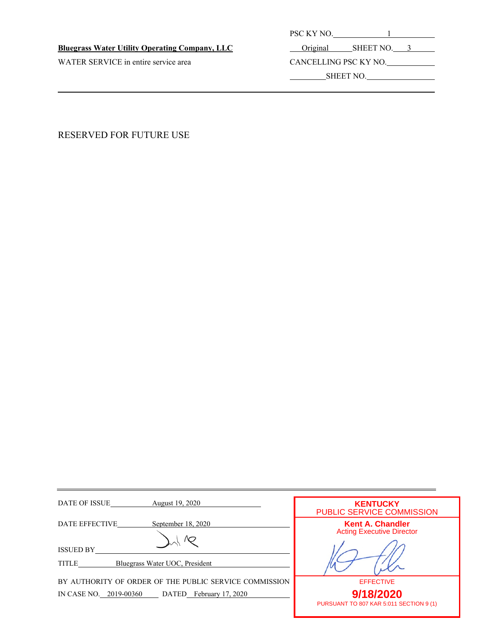|--|

# **Bluegrass Water Utility Operating Company, LLC** Original SHEET NO. 3

WATER SERVICE in entire service area CANCELLING PSC KY NO.

l

SHEET NO.

RESERVED FOR FUTURE USE

| DATE OF ISSUE<br>August 19, 2020                       | <b>KENTUCKY</b><br>PUBLIC SERVICE COMMISSION                |
|--------------------------------------------------------|-------------------------------------------------------------|
|                                                        |                                                             |
| <b>DATE EFFECTIVE</b><br>September 18, 2020            | <b>Kent A. Chandler</b><br><b>Acting Executive Director</b> |
|                                                        |                                                             |
| <b>ISSUED BY</b>                                       |                                                             |
| Bluegrass Water UOC, President<br>TITLE                |                                                             |
| BY AUTHORITY OF ORDER OF THE PUBLIC SERVICE COMMISSION | <b>EFFECTIVE</b>                                            |
| IN CASE NO. 2019-00360<br>DATED February 17, 2020      | 9/18/2020                                                   |
|                                                        | PURSUANT TO 807 KAR 5:011 SECTION 9 (1)                     |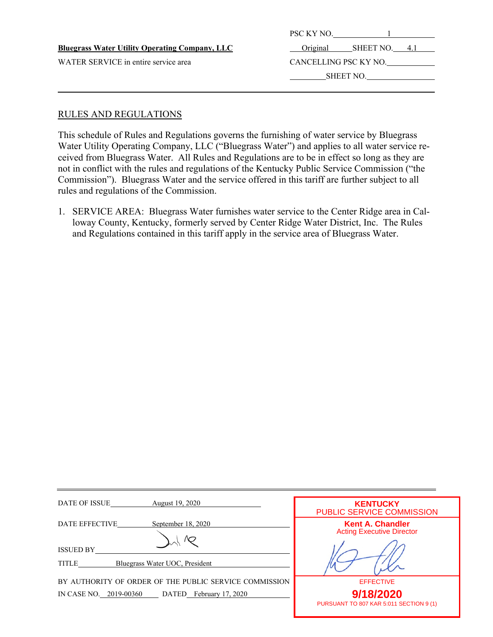|                                                       | PSC KY NO.            |           |      |
|-------------------------------------------------------|-----------------------|-----------|------|
| <u>Bluegrass Water Utility Operating Company, LLC</u> | Original              | SHEET NO. | 4. I |
| WATER SERVICE in entire service area                  | CANCELLING PSC KY NO. |           |      |
|                                                       |                       | SHEET NO. |      |
|                                                       |                       |           |      |

# RULES AND REGULATIONS

l

This schedule of Rules and Regulations governs the furnishing of water service by Bluegrass Water Utility Operating Company, LLC ("Bluegrass Water") and applies to all water service received from Bluegrass Water. All Rules and Regulations are to be in effect so long as they are not in conflict with the rules and regulations of the Kentucky Public Service Commission ("the Commission"). Bluegrass Water and the service offered in this tariff are further subject to all rules and regulations of the Commission.

1. SERVICE AREA: Bluegrass Water furnishes water service to the Center Ridge area in Calloway County, Kentucky, formerly served by Center Ridge Water District, Inc. The Rules and Regulations contained in this tariff apply in the service area of Bluegrass Water.

| DATE OF ISSUE                                                      | <b>KENTUCKY</b>                         |
|--------------------------------------------------------------------|-----------------------------------------|
| August 19, 2020                                                    | PUBLIC SERVICE COMMISSION               |
| <b>DATE EFFECTIVE</b>                                              | <b>Kent A. Chandler</b>                 |
| September 18, 2020                                                 | <b>Acting Executive Director</b>        |
| <b>ISSUED BY</b><br>Bluegrass Water UOC, President<br><b>TITLE</b> |                                         |
| BY AUTHORITY OF ORDER OF THE PUBLIC SERVICE COMMISSION             | <b>EFFECTIVE</b>                        |
| IN CASE NO. 2019-00360                                             | 9/18/2020                               |
| DATED February 17, 2020                                            | PURSUANT TO 807 KAR 5:011 SECTION 9 (1) |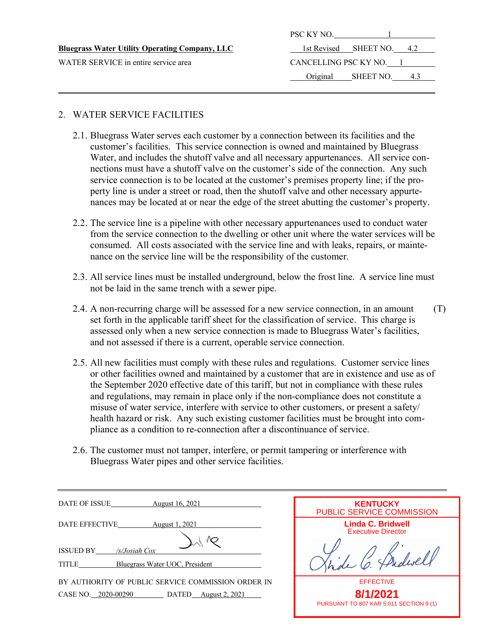WATER SERVICE in entire service area

| PSC KY NO.            |                       |     |
|-----------------------|-----------------------|-----|
|                       | 1st Revised SHEET NO. | 4.2 |
| CANCELLING PSC KY NO. |                       |     |
|                       | Original SHEET NO.    | 43  |
|                       |                       |     |

# 2. WATER SERVICE FACILITIES

- 2.1. Bluegrass Water serves each customer by a connection between its facilities and the customer's facilities. This service connection is owned and maintained by Bluegrass Water, and includes the shutoff valve and all necessary appurtenances. All service connections must have a shutoff valve on the customer's side of the connection. Any such service connection is to be located at the customer's premises property line; if the property line is under a street or road, then the shutoff valve and other necessary appurtenances may be located at or near the edge of the street abutting the customer's property.
- 2.2. The service line is a pipeline with other necessary appurtenances used to conduct water from the service connection to the dwelling or other unit where the water services will be consumed. All costs associated with the service line and with leaks, repairs, or maintenance on the service line will be the responsibility of the customer.
- 2.3. All service lines must be installed underground, below the frost line. A service line must not be laid in the same trench with a sewer pipe.
- 2.4. A non-recurring charge will be assessed for a new service connection, in an amount (T) set forth in the applicable tariff sheet for the classification of service. This charge is assessed only when a new service connection is made to Bluegrass Water's facilities, and not assessed if there is a current, operable service connection.
- 2.5. All new facilities must comply with these rules and regulations. Customer service lines or other facilities owned and maintained by a customer that are in existence and use as of the September 2020 effective date of this tariff, but not in compliance with these rules and regulations, may remain in place only if the non-compliance does not constitute a misuse of water service, interfere with service to other customers, or present a safety/ health hazard or risk. Any such existing customer facilities must be brought into compliance as a condition to re-connection after a discontinuance of service.
- 2.6. The customer must not tamper, interfere, or permit tampering or interference with Bluegrass Water pipes and other service facilities.

| DATE OF ISSUE<br>August 16, 2021                   |
|----------------------------------------------------|
| DATE EFFECTIVE August 1, 2021                      |
|                                                    |
| ISSUED BY /s/Josiah Cox                            |
| Bluegrass Water UOC, President<br><b>TITLE</b>     |
| BY AUTHORITY OF PUBLIC SERVICE COMMISSION ORDER IN |
| CASE NO. 2020-00290 DATED August 2, 2021           |

| <b>KENTUCKY</b><br><b>PUBLIC SERVICE COMMISSION</b>   |  |  |
|-------------------------------------------------------|--|--|
| <b>Linda C. Bridwell</b><br><b>Executive Director</b> |  |  |
| dwel                                                  |  |  |
| <b>EFFECTIVE</b>                                      |  |  |
| 8/1/2021<br>PURSUANT TO 807 KAR 5:011 SECTION 9 (1)   |  |  |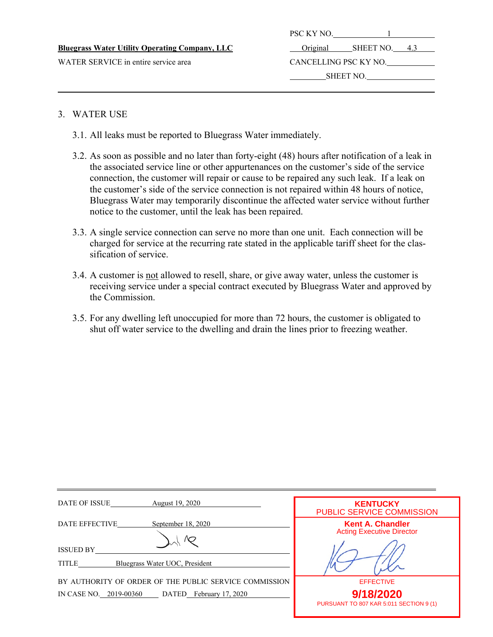|                                                       | PSC KY NO.            |               |  |
|-------------------------------------------------------|-----------------------|---------------|--|
| <u>Bluegrass Water Utility Operating Company, LLC</u> | Original              | SHEET NO. 4.3 |  |
| WATER SERVICE in entire service area                  | CANCELLING PSC KY NO. |               |  |
|                                                       |                       | SHEET NO.     |  |
|                                                       |                       |               |  |

#### 3. WATER USE

l

- 3.1. All leaks must be reported to Bluegrass Water immediately.
- 3.2. As soon as possible and no later than forty-eight (48) hours after notification of a leak in the associated service line or other appurtenances on the customer's side of the service connection, the customer will repair or cause to be repaired any such leak. If a leak on the customer's side of the service connection is not repaired within 48 hours of notice, Bluegrass Water may temporarily discontinue the affected water service without further notice to the customer, until the leak has been repaired.
- 3.3. A single service connection can serve no more than one unit. Each connection will be charged for service at the recurring rate stated in the applicable tariff sheet for the classification of service.
- 3.4. A customer is not allowed to resell, share, or give away water, unless the customer is receiving service under a special contract executed by Bluegrass Water and approved by the Commission.
- 3.5. For any dwelling left unoccupied for more than 72 hours, the customer is obligated to shut off water service to the dwelling and drain the lines prior to freezing weather.

| DATE OF ISSUE<br>August 19, 2020                       | <b>KENTUCKY</b>                         |
|--------------------------------------------------------|-----------------------------------------|
|                                                        | PUBLIC SERVICE COMMISSION               |
|                                                        |                                         |
| <b>DATE EFFECTIVE</b><br>September 18, 2020            | <b>Kent A. Chandler</b>                 |
|                                                        | <b>Acting Executive Director</b>        |
|                                                        |                                         |
|                                                        |                                         |
| <b>ISSUED BY</b>                                       |                                         |
| Bluegrass Water UOC, President<br><b>TITLE</b>         |                                         |
|                                                        |                                         |
| BY AUTHORITY OF ORDER OF THE PUBLIC SERVICE COMMISSION | <b>EFFECTIVE</b>                        |
| IN CASE NO. 2019-00360<br>DATED February 17, 2020      | 9/18/2020                               |
|                                                        | PURSUANT TO 807 KAR 5:011 SECTION 9 (1) |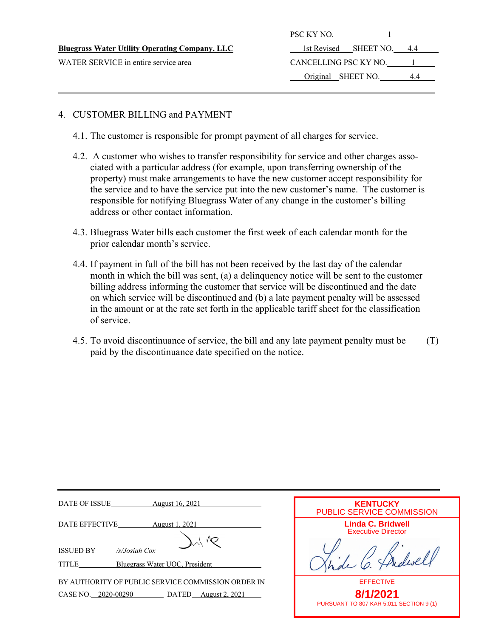WATER SERVICE in entire service area

| PSC KY NO.            |                           |    |
|-----------------------|---------------------------|----|
|                       | 1st Revised SHEET NO. 4.4 |    |
| CANCELLING PSC KY NO. |                           |    |
| Original SHEET NO.    |                           | 44 |
|                       |                           |    |

#### 4. CUSTOMER BILLING and PAYMENT

- 4.1. The customer is responsible for prompt payment of all charges for service.
- 4.2. A customer who wishes to transfer responsibility for service and other charges associated with a particular address (for example, upon transferring ownership of the property) must make arrangements to have the new customer accept responsibility for the service and to have the service put into the new customer's name. The customer is responsible for notifying Bluegrass Water of any change in the customer's billing address or other contact information.
- 4.3. Bluegrass Water bills each customer the first week of each calendar month for the prior calendar month's service.
- 4.4. If payment in full of the bill has not been received by the last day of the calendar month in which the bill was sent, (a) a delinquency notice will be sent to the customer billing address informing the customer that service will be discontinued and the date on which service will be discontinued and (b) a late payment penalty will be assessed in the amount or at the rate set forth in the applicable tariff sheet for the classification of service.
- 4.5. To avoid discontinuance of service, the bill and any late payment penalty must be (T) paid by the discontinuance date specified on the notice.

| DATE OF ISSUE<br>August 16, 2021                                                               | <b>PUBLIC SE</b>   |
|------------------------------------------------------------------------------------------------|--------------------|
| DATE EFFECTIVE<br>August 1, 2021                                                               | Lin<br>Ex          |
| ISSUED BY /s/Josiah Cox<br>TITLE<br>Bluegrass Water UOC, President                             |                    |
| BY AUTHORITY OF PUBLIC SERVICE COMMISSION ORDER IN<br>CASE NO. 2020-00290 DATED August 2, 2021 | <b>PURSUANT TO</b> |

| <b>KENTUCKY</b><br>PUBLIC SERVICE COMMISSION   |
|------------------------------------------------|
| Linda C. Bridwell<br><b>Executive Director</b> |
| dwel.<br>(a)                                   |
| <b>EFFECTIVE</b>                               |
| 8/1/2021                                       |
| PURSUANT TO 807 KAR 5:011 SECTION 9 (1)        |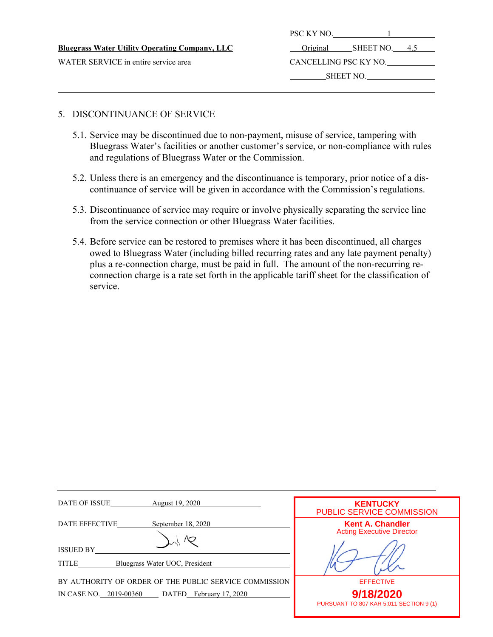| <b>Bluegrass Water Utility Operating Company, LLC</b> | <i><b>Driginal</b></i> | SHEET NO. | 4.5 |
|-------------------------------------------------------|------------------------|-----------|-----|
|                                                       |                        |           |     |

l

|                                                       | PSC KY NO.            |           |     |
|-------------------------------------------------------|-----------------------|-----------|-----|
| <u>Bluegrass Water Utility Operating Company, LLC</u> | Original              | SHEET NO. | 4.5 |
| WATER SERVICE in entire service area                  | CANCELLING PSC KY NO. |           |     |
|                                                       |                       | SHEET NO. |     |
|                                                       |                       |           |     |

#### 5. DISCONTINUANCE OF SERVICE

- 5.1. Service may be discontinued due to non-payment, misuse of service, tampering with Bluegrass Water's facilities or another customer's service, or non-compliance with rules and regulations of Bluegrass Water or the Commission.
- 5.2. Unless there is an emergency and the discontinuance is temporary, prior notice of a discontinuance of service will be given in accordance with the Commission's regulations.
- 5.3. Discontinuance of service may require or involve physically separating the service line from the service connection or other Bluegrass Water facilities.
- 5.4. Before service can be restored to premises where it has been discontinued, all charges owed to Bluegrass Water (including billed recurring rates and any late payment penalty) plus a re-connection charge, must be paid in full. The amount of the non-recurring reconnection charge is a rate set forth in the applicable tariff sheet for the classification of service.

| DATE OF ISSUE<br>August 19, 2020                                | <b>KENTUCKY</b><br>PUBLIC SERVICE COMMISSION                |
|-----------------------------------------------------------------|-------------------------------------------------------------|
| <b>DATE EFFECTIVE</b><br>September 18, 2020<br><b>ISSUED BY</b> | <b>Kent A. Chandler</b><br><b>Acting Executive Director</b> |
| Bluegrass Water UOC, President<br><b>TITLE</b>                  |                                                             |
| BY AUTHORITY OF ORDER OF THE PUBLIC SERVICE COMMISSION          | <b>EFFECTIVE</b>                                            |
| IN CASE NO. 2019-00360<br>DATED February 17, 2020               | 9/18/2020<br>PURSUANT TO 807 KAR 5:011 SECTION 9 (1)        |